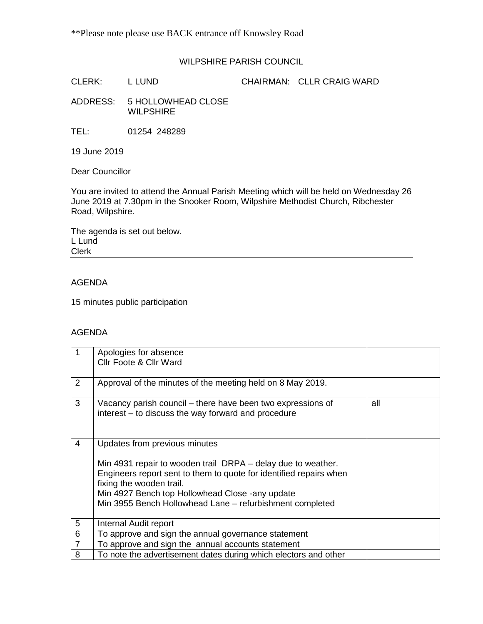## WILPSHIRE PARISH COUNCIL

CLERK: L LUND CHAIRMAN: CLLR CRAIG WARD

ADDRESS: 5 HOLLOWHEAD CLOSE WILPSHIRE

TEL: 01254 248289

19 June 2019

Dear Councillor

You are invited to attend the Annual Parish Meeting which will be held on Wednesday 26 June 2019 at 7.30pm in the Snooker Room, Wilpshire Methodist Church, Ribchester Road, Wilpshire.

The agenda is set out below. L Lund Clerk

## AGENDA

15 minutes public participation

## AGENDA

|                | Apologies for absence<br>Cllr Foote & Cllr Ward                                                                                                                                                                                                                                                                |     |
|----------------|----------------------------------------------------------------------------------------------------------------------------------------------------------------------------------------------------------------------------------------------------------------------------------------------------------------|-----|
| 2              | Approval of the minutes of the meeting held on 8 May 2019.                                                                                                                                                                                                                                                     |     |
| 3              | Vacancy parish council – there have been two expressions of<br>interest – to discuss the way forward and procedure                                                                                                                                                                                             | all |
| 4              | Updates from previous minutes<br>Min 4931 repair to wooden trail DRPA – delay due to weather.<br>Engineers report sent to them to quote for identified repairs when<br>fixing the wooden trail.<br>Min 4927 Bench top Hollowhead Close -any update<br>Min 3955 Bench Hollowhead Lane - refurbishment completed |     |
| 5              | Internal Audit report                                                                                                                                                                                                                                                                                          |     |
| 6              | To approve and sign the annual governance statement                                                                                                                                                                                                                                                            |     |
| $\overline{7}$ | To approve and sign the annual accounts statement                                                                                                                                                                                                                                                              |     |
| 8              | To note the advertisement dates during which electors and other                                                                                                                                                                                                                                                |     |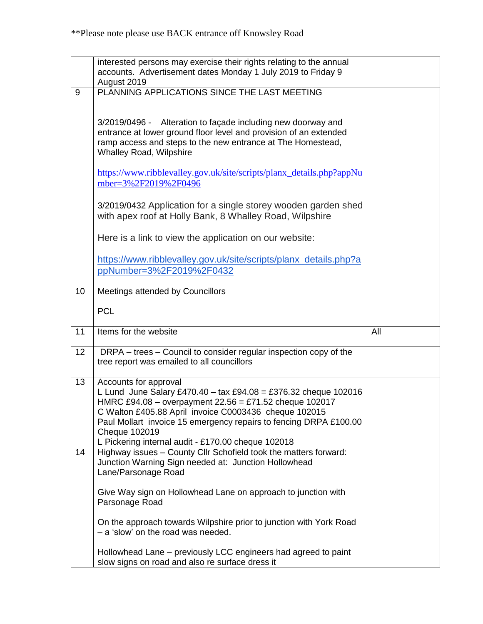|    | interested persons may exercise their rights relating to the annual<br>accounts. Advertisement dates Monday 1 July 2019 to Friday 9<br>August 2019                                                                                                                                                |     |
|----|---------------------------------------------------------------------------------------------------------------------------------------------------------------------------------------------------------------------------------------------------------------------------------------------------|-----|
| 9  | PLANNING APPLICATIONS SINCE THE LAST MEETING                                                                                                                                                                                                                                                      |     |
|    |                                                                                                                                                                                                                                                                                                   |     |
|    | Alteration to façade including new doorway and<br>3/2019/0496 -<br>entrance at lower ground floor level and provision of an extended<br>ramp access and steps to the new entrance at The Homestead,<br><b>Whalley Road, Wilpshire</b>                                                             |     |
|    | https://www.ribblevalley.gov.uk/site/scripts/planx_details.php?appNu<br>mber=3%2F2019%2F0496                                                                                                                                                                                                      |     |
|    | 3/2019/0432 Application for a single storey wooden garden shed<br>with apex roof at Holly Bank, 8 Whalley Road, Wilpshire                                                                                                                                                                         |     |
|    | Here is a link to view the application on our website:                                                                                                                                                                                                                                            |     |
|    | https://www.ribblevalley.gov.uk/site/scripts/planx_details.php?a<br>ppNumber=3%2F2019%2F0432                                                                                                                                                                                                      |     |
| 10 | Meetings attended by Councillors                                                                                                                                                                                                                                                                  |     |
|    | <b>PCL</b>                                                                                                                                                                                                                                                                                        |     |
|    |                                                                                                                                                                                                                                                                                                   |     |
| 11 | Items for the website                                                                                                                                                                                                                                                                             | All |
| 12 | DRPA – trees – Council to consider regular inspection copy of the<br>tree report was emailed to all councillors                                                                                                                                                                                   |     |
| 13 | Accounts for approval<br>L Lund June Salary £470.40 - tax £94.08 = £376.32 cheque 102016<br>HMRC £94.08 - overpayment 22.56 = £71.52 cheque 102017<br>C Walton £405.88 April invoice C0003436 cheque 102015<br>Paul Mollart invoice 15 emergency repairs to fencing DRPA £100.00<br>Cheque 102019 |     |
| 14 | L Pickering internal audit - £170.00 cheque 102018<br>Highway issues - County Cllr Schofield took the matters forward:<br>Junction Warning Sign needed at: Junction Hollowhead<br>Lane/Parsonage Road                                                                                             |     |
|    | Give Way sign on Hollowhead Lane on approach to junction with<br>Parsonage Road                                                                                                                                                                                                                   |     |
|    | On the approach towards Wilpshire prior to junction with York Road<br>- a 'slow' on the road was needed.                                                                                                                                                                                          |     |